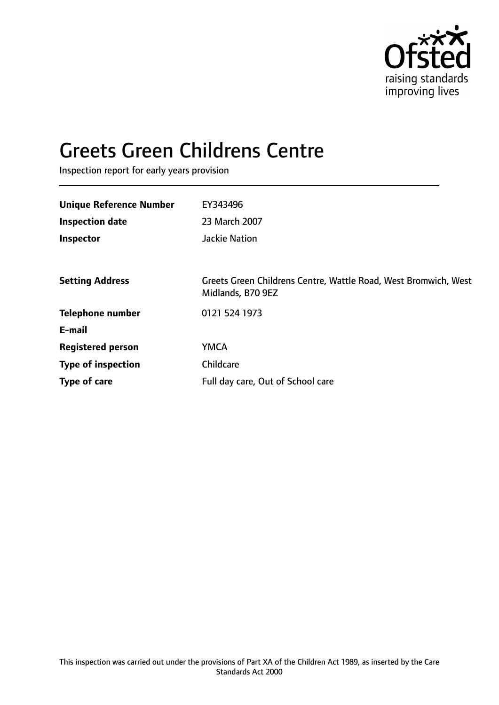

# Greets Green Childrens Centre

Inspection report for early years provision

| <b>Unique Reference Number</b> | EY343496                                                                             |
|--------------------------------|--------------------------------------------------------------------------------------|
| <b>Inspection date</b>         | 23 March 2007                                                                        |
| Inspector                      | <b>Jackie Nation</b>                                                                 |
|                                |                                                                                      |
| <b>Setting Address</b>         | Greets Green Childrens Centre, Wattle Road, West Bromwich, West<br>Midlands, B70 9EZ |
| <b>Telephone number</b>        | 0121 524 1973                                                                        |
| E-mail                         |                                                                                      |
| <b>Registered person</b>       | <b>YMCA</b>                                                                          |
| <b>Type of inspection</b>      | Childcare                                                                            |
| Type of care                   | Full day care, Out of School care                                                    |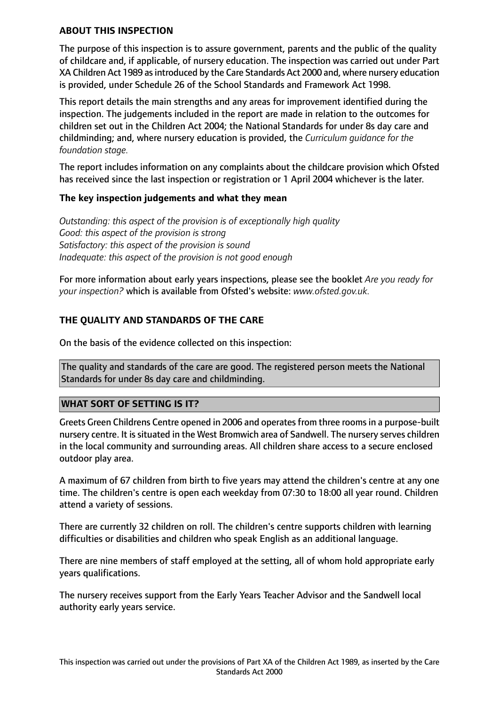## **ABOUT THIS INSPECTION**

The purpose of this inspection is to assure government, parents and the public of the quality of childcare and, if applicable, of nursery education. The inspection was carried out under Part XA Children Act 1989 as introduced by the Care Standards Act 2000 and, where nursery education is provided, under Schedule 26 of the School Standards and Framework Act 1998.

This report details the main strengths and any areas for improvement identified during the inspection. The judgements included in the report are made in relation to the outcomes for children set out in the Children Act 2004; the National Standards for under 8s day care and childminding; and, where nursery education is provided, the *Curriculum guidance for the foundation stage.*

The report includes information on any complaints about the childcare provision which Ofsted has received since the last inspection or registration or 1 April 2004 whichever is the later.

## **The key inspection judgements and what they mean**

*Outstanding: this aspect of the provision is of exceptionally high quality Good: this aspect of the provision is strong Satisfactory: this aspect of the provision is sound Inadequate: this aspect of the provision is not good enough*

For more information about early years inspections, please see the booklet *Are you ready for your inspection?* which is available from Ofsted's website: *www.ofsted.gov.uk.*

## **THE QUALITY AND STANDARDS OF THE CARE**

On the basis of the evidence collected on this inspection:

The quality and standards of the care are good. The registered person meets the National Standards for under 8s day care and childminding.

## **WHAT SORT OF SETTING IS IT?**

Greets Green Childrens Centre opened in 2006 and operatesfrom three roomsin a purpose-built nursery centre. It is situated in the West Bromwich area of Sandwell. The nursery serves children in the local community and surrounding areas. All children share access to a secure enclosed outdoor play area.

A maximum of 67 children from birth to five years may attend the children's centre at any one time. The children's centre is open each weekday from 07:30 to 18:00 all year round. Children attend a variety of sessions.

There are currently 32 children on roll. The children's centre supports children with learning difficulties or disabilities and children who speak English as an additional language.

There are nine members of staff employed at the setting, all of whom hold appropriate early years qualifications.

The nursery receives support from the Early Years Teacher Advisor and the Sandwell local authority early years service.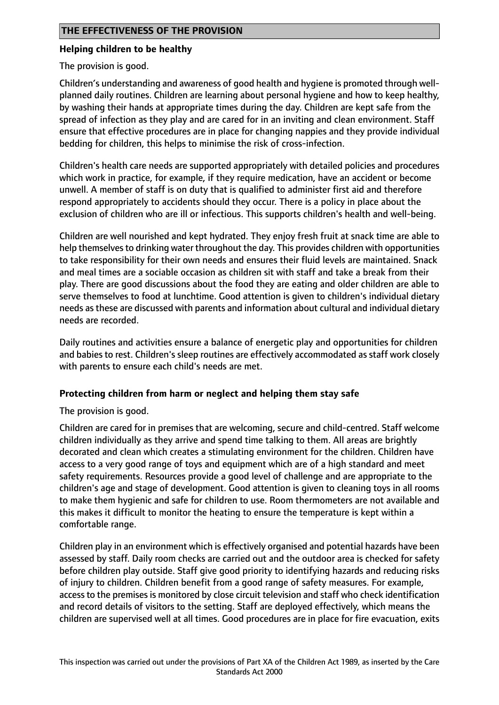## **Helping children to be healthy**

The provision is good.

Children's understanding and awareness of good health and hygiene is promoted through wellplanned daily routines. Children are learning about personal hygiene and how to keep healthy, by washing their hands at appropriate times during the day. Children are kept safe from the spread of infection as they play and are cared for in an inviting and clean environment. Staff ensure that effective procedures are in place for changing nappies and they provide individual bedding for children, this helps to minimise the risk of cross-infection.

Children's health care needs are supported appropriately with detailed policies and procedures which work in practice, for example, if they require medication, have an accident or become unwell. A member of staff is on duty that is qualified to administer first aid and therefore respond appropriately to accidents should they occur. There is a policy in place about the exclusion of children who are ill or infectious. This supports children's health and well-being.

Children are well nourished and kept hydrated. They enjoy fresh fruit at snack time are able to help themselves to drinking water throughout the day. This provides children with opportunities to take responsibility for their own needs and ensures their fluid levels are maintained. Snack and meal times are a sociable occasion as children sit with staff and take a break from their play. There are good discussions about the food they are eating and older children are able to serve themselves to food at lunchtime. Good attention is given to children's individual dietary needs as these are discussed with parents and information about cultural and individual dietary needs are recorded.

Daily routines and activities ensure a balance of energetic play and opportunities for children and babies to rest. Children's sleep routines are effectively accommodated as staff work closely with parents to ensure each child's needs are met.

## **Protecting children from harm or neglect and helping them stay safe**

The provision is good.

Children are cared for in premises that are welcoming, secure and child-centred. Staff welcome children individually as they arrive and spend time talking to them. All areas are brightly decorated and clean which creates a stimulating environment for the children. Children have access to a very good range of toys and equipment which are of a high standard and meet safety requirements. Resources provide a good level of challenge and are appropriate to the children's age and stage of development. Good attention is given to cleaning toys in all rooms to make them hygienic and safe for children to use. Room thermometers are not available and this makes it difficult to monitor the heating to ensure the temperature is kept within a comfortable range.

Children play in an environment which is effectively organised and potential hazards have been assessed by staff. Daily room checks are carried out and the outdoor area is checked for safety before children play outside. Staff give good priority to identifying hazards and reducing risks of injury to children. Children benefit from a good range of safety measures. For example, access to the premises is monitored by close circuit television and staff who check identification and record details of visitors to the setting. Staff are deployed effectively, which means the children are supervised well at all times. Good procedures are in place for fire evacuation, exits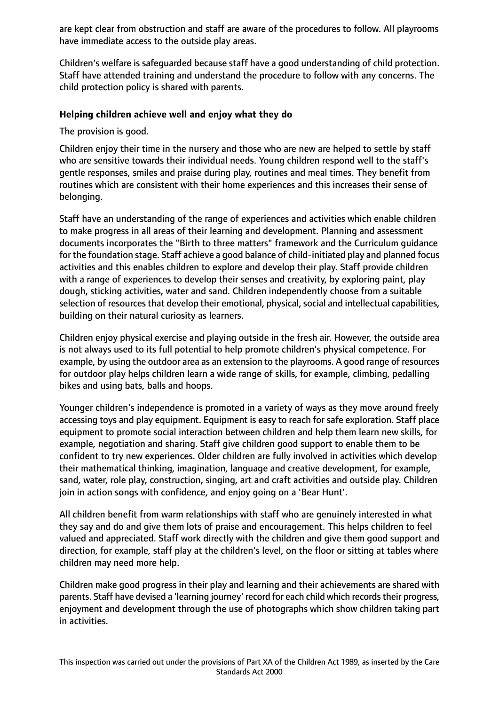are kept clear from obstruction and staff are aware of the procedures to follow. All playrooms have immediate access to the outside play areas.

Children's welfare is safeguarded because staff have a good understanding of child protection. Staff have attended training and understand the procedure to follow with any concerns. The child protection policy is shared with parents.

## **Helping children achieve well and enjoy what they do**

The provision is good.

Children enjoy their time in the nursery and those who are new are helped to settle by staff who are sensitive towards their individual needs. Young children respond well to the staff's gentle responses, smiles and praise during play, routines and meal times. They benefit from routines which are consistent with their home experiences and this increases their sense of belonging.

Staff have an understanding of the range of experiences and activities which enable children to make progress in all areas of their learning and development. Planning and assessment documents incorporates the "Birth to three matters" framework and the Curriculum guidance for the foundation stage. Staff achieve a good balance of child-initiated play and planned focus activities and this enables children to explore and develop their play. Staff provide children with a range of experiences to develop their senses and creativity, by exploring paint, play dough, sticking activities, water and sand. Children independently choose from a suitable selection of resources that develop their emotional, physical, social and intellectual capabilities, building on their natural curiosity as learners.

Children enjoy physical exercise and playing outside in the fresh air. However, the outside area is not always used to its full potential to help promote children's physical competence. For example, by using the outdoor area as an extension to the playrooms. A good range of resources for outdoor play helps children learn a wide range of skills, for example, climbing, pedalling bikes and using bats, balls and hoops.

Younger children's independence is promoted in a variety of ways as they move around freely accessing toys and play equipment. Equipment is easy to reach for safe exploration. Staff place equipment to promote social interaction between children and help them learn new skills, for example, negotiation and sharing. Staff give children good support to enable them to be confident to try new experiences. Older children are fully involved in activities which develop their mathematical thinking, imagination, language and creative development, for example, sand, water, role play, construction, singing, art and craft activities and outside play. Children join in action songs with confidence, and enjoy going on a 'Bear Hunt'.

All children benefit from warm relationships with staff who are genuinely interested in what they say and do and give them lots of praise and encouragement. This helps children to feel valued and appreciated. Staff work directly with the children and give them good support and direction, for example, staff play at the children's level, on the floor or sitting at tables where children may need more help.

Children make good progress in their play and learning and their achievements are shared with parents. Staff have devised a 'learning journey' record for each child which records their progress, enjoyment and development through the use of photographs which show children taking part in activities.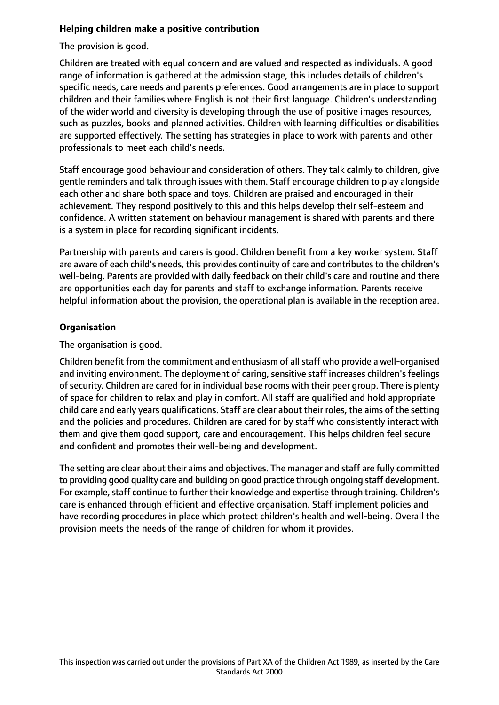## **Helping children make a positive contribution**

The provision is good.

Children are treated with equal concern and are valued and respected as individuals. A good range of information is gathered at the admission stage, this includes details of children's specific needs, care needs and parents preferences. Good arrangements are in place to support children and their families where English is not their first language. Children's understanding of the wider world and diversity is developing through the use of positive images resources, such as puzzles, books and planned activities. Children with learning difficulties or disabilities are supported effectively. The setting has strategies in place to work with parents and other professionals to meet each child's needs.

Staff encourage good behaviour and consideration of others. They talk calmly to children, give gentle reminders and talk through issues with them. Staff encourage children to play alongside each other and share both space and toys. Children are praised and encouraged in their achievement. They respond positively to this and this helps develop their self-esteem and confidence. A written statement on behaviour management is shared with parents and there is a system in place for recording significant incidents.

Partnership with parents and carers is good. Children benefit from a key worker system. Staff are aware of each child's needs, this provides continuity of care and contributes to the children's well-being. Parents are provided with daily feedback on their child's care and routine and there are opportunities each day for parents and staff to exchange information. Parents receive helpful information about the provision, the operational plan is available in the reception area.

## **Organisation**

The organisation is good.

Children benefit from the commitment and enthusiasm of allstaff who provide a well-organised and inviting environment. The deployment of caring, sensitive staff increases children's feelings of security. Children are cared for in individual base rooms with their peer group. There is plenty of space for children to relax and play in comfort. All staff are qualified and hold appropriate child care and early years qualifications. Staff are clear about their roles, the aims of the setting and the policies and procedures. Children are cared for by staff who consistently interact with them and give them good support, care and encouragement. This helps children feel secure and confident and promotes their well-being and development.

The setting are clear about their aims and objectives. The manager and staff are fully committed to providing good quality care and building on good practice through ongoing staff development. For example, staff continue to further their knowledge and expertise through training. Children's care is enhanced through efficient and effective organisation. Staff implement policies and have recording procedures in place which protect children's health and well-being. Overall the provision meets the needs of the range of children for whom it provides.